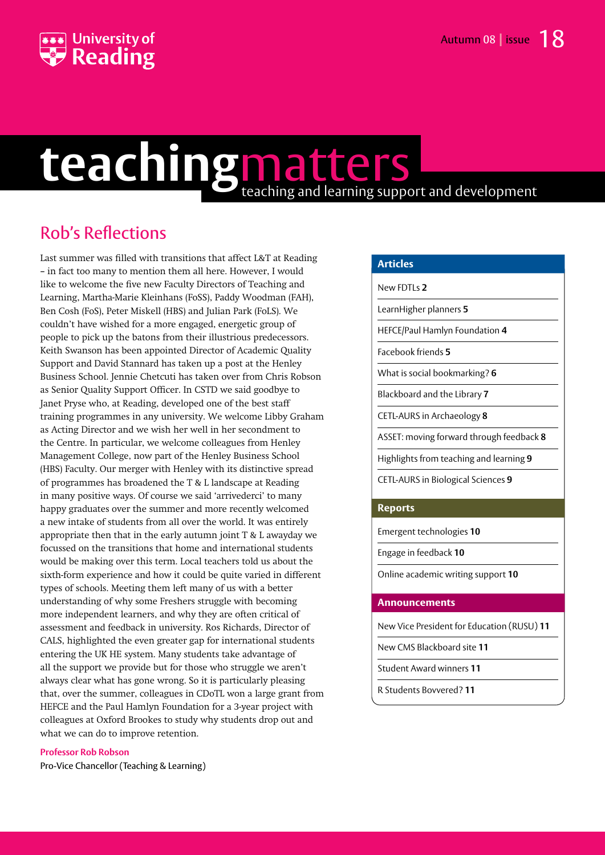

# **teaching**matters teaching and learning support and development

# Rob's Reflections

Last summer was filled with transitions that affect L&T at Reading – in fact too many to mention them all here. However, I would like to welcome the five new Faculty Directors of Teaching and Learning, Martha-Marie Kleinhans (FoSS), Paddy Woodman (FAH), Ben Cosh (FoS), Peter Miskell (HBS) and Julian Park (FoLS). We couldn't have wished for a more engaged, energetic group of people to pick up the batons from their illustrious predecessors. Keith Swanson has been appointed Director of Academic Quality Support and David Stannard has taken up a post at the Henley Business School. Jennie Chetcuti has taken over from Chris Robson as Senior Quality Support Officer. In CSTD we said goodbye to Janet Pryse who, at Reading, developed one of the best staff training programmes in any university. We welcome Libby Graham as Acting Director and we wish her well in her secondment to the Centre. In particular, we welcome colleagues from Henley Management College, now part of the Henley Business School (HBS) Faculty. Our merger with Henley with its distinctive spread of programmes has broadened the T & L landscape at Reading in many positive ways. Of course we said 'arrivederci' to many happy graduates over the summer and more recently welcomed a new intake of students from all over the world. It was entirely appropriate then that in the early autumn joint T & L awayday we focussed on the transitions that home and international students would be making over this term. Local teachers told us about the sixth-form experience and how it could be quite varied in different types of schools. Meeting them left many of us with a better understanding of why some Freshers struggle with becoming more independent learners, and why they are often critical of assessment and feedback in university. Ros Richards, Director of CALS, highlighted the even greater gap for international students entering the UK HE system. Many students take advantage of all the support we provide but for those who struggle we aren't always clear what has gone wrong. So it is particularly pleasing that, over the summer, colleagues in CDoTL won a large grant from HEFCE and the Paul Hamlyn Foundation for a 3-year project with colleagues at Oxford Brookes to study why students drop out and what we can do to improve retention.

### **Professor Rob Robson**

Pro-Vice Chancellor (Teaching & Learning)

### **Articles**

New FDTLs **2**

LearnHigher planners **5**

HEFCE/Paul Hamlyn Foundation **4**

Facebook friends **5**

What is social bookmarking? **6**

Blackboard and the Library **7**

CETL-AURS in Archaeology **8**

ASSET: moving forward through feedback **8**

Highlights from teaching and learning **9**

CETL-AURS in Biological Sciences **9**

### **Reports**

Emergent technologies **10**

Engage in feedback **10**

Online academic writing support **10**

### **Announcements**

New Vice President for Education (RUSU) **11**

New CMS Blackboard site **11**

Student Award winners **11**

R Students Bovvered? **11**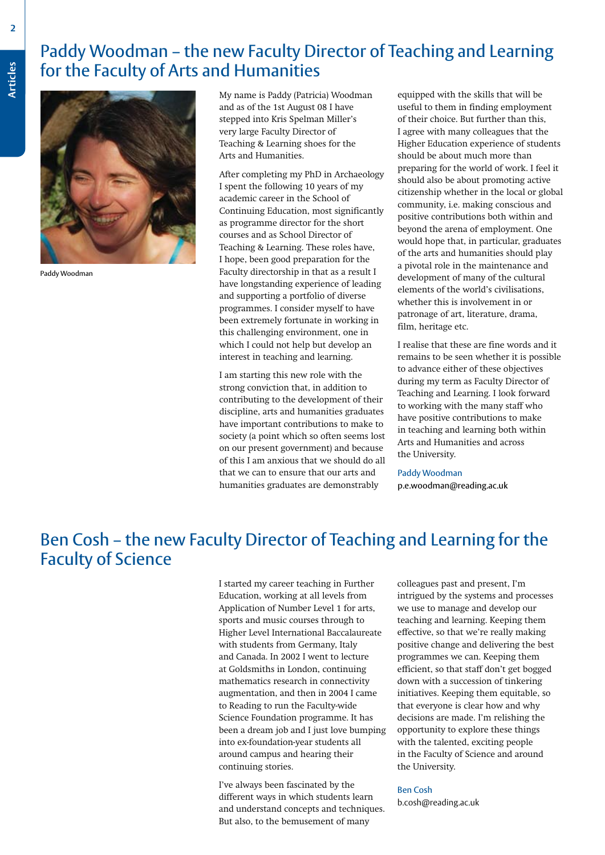# **Paddy Woodman – the new Faculty Director of Teaching and Learning<br>For the Faculty of Arts and Humanities<br>My pame is Paddy (Patricia) Woodman – equipped with the skills that will be** for the Faculty of Arts and Humanities



Paddy Woodman

My name is Paddy (Patricia) Woodman and as of the 1st August 08 I have stepped into Kris Spelman Miller's very large Faculty Director of Teaching & Learning shoes for the Arts and Humanities.

After completing my PhD in Archaeology I spent the following 10 years of my academic career in the School of Continuing Education, most significantly as programme director for the short courses and as School Director of Teaching & Learning. These roles have, I hope, been good preparation for the Faculty directorship in that as a result I have longstanding experience of leading and supporting a portfolio of diverse programmes. I consider myself to have been extremely fortunate in working in this challenging environment, one in which I could not help but develop an interest in teaching and learning.

I am starting this new role with the strong conviction that, in addition to contributing to the development of their discipline, arts and humanities graduates have important contributions to make to society (a point which so often seems lost on our present government) and because of this I am anxious that we should do all that we can to ensure that our arts and humanities graduates are demonstrably

equipped with the skills that will be useful to them in finding employment of their choice. But further than this, I agree with many colleagues that the Higher Education experience of students should be about much more than preparing for the world of work. I feel it should also be about promoting active citizenship whether in the local or global community, i.e. making conscious and positive contributions both within and beyond the arena of employment. One would hope that, in particular, graduates of the arts and humanities should play a pivotal role in the maintenance and development of many of the cultural elements of the world's civilisations, whether this is involvement in or patronage of art, literature, drama, film, heritage etc.

I realise that these are fine words and it remains to be seen whether it is possible to advance either of these objectives during my term as Faculty Director of Teaching and Learning. I look forward to working with the many staff who have positive contributions to make in teaching and learning both within Arts and Humanities and across the University.

#### Paddy Woodman

p.e.woodman@reading.ac.uk

### Ben Cosh – the new Faculty Director of Teaching and Learning for the Faculty of Science

I started my career teaching in Further Education, working at all levels from Application of Number Level 1 for arts, sports and music courses through to Higher Level International Baccalaureate with students from Germany, Italy and Canada. In 2002 I went to lecture at Goldsmiths in London, continuing mathematics research in connectivity augmentation, and then in 2004 I came to Reading to run the Faculty-wide Science Foundation programme. It has been a dream job and I just love bumping into ex-foundation-year students all around campus and hearing their continuing stories.

I've always been fascinated by the different ways in which students learn and understand concepts and techniques. But also, to the bemusement of many

colleagues past and present, I'm intrigued by the systems and processes we use to manage and develop our teaching and learning. Keeping them effective, so that we're really making positive change and delivering the best programmes we can. Keeping them efficient, so that staff don't get bogged down with a succession of tinkering initiatives. Keeping them equitable, so that everyone is clear how and why decisions are made. I'm relishing the opportunity to explore these things with the talented, exciting people in the Faculty of Science and around the University.

#### Ben Cosh

b.cosh@reading.ac.uk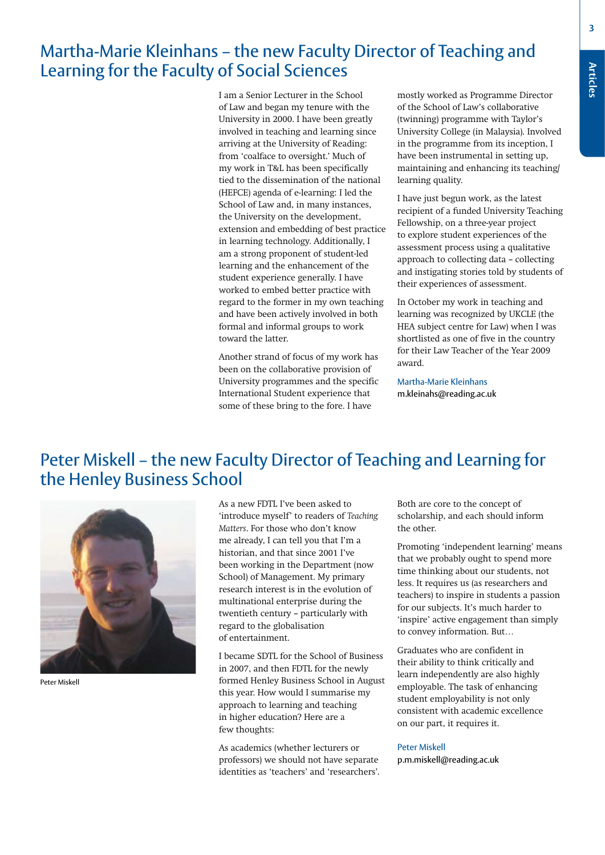**Articles**

### Martha-Marie Kleinhans – the new Faculty Director of Teaching and Learning for the Faculty of Social Sciences

I am a Senior Lecturer in the School of Law and began my tenure with the University in 2000. I have been greatly involved in teaching and learning since arriving at the University of Reading: from 'coalface to oversight.' Much of my work in T&L has been specifically tied to the dissemination of the national (HEFCE) agenda of e-learning: I led the School of Law and, in many instances, the University on the development, extension and embedding of best practice in learning technology. Additionally, I am a strong proponent of student-led learning and the enhancement of the student experience generally. I have worked to embed better practice with regard to the former in my own teaching and have been actively involved in both formal and informal groups to work toward the latter.

Another strand of focus of my work has been on the collaborative provision of University programmes and the specific International Student experience that some of these bring to the fore. I have

mostly worked as Programme Director of the School of Law's collaborative (twinning) programme with Taylor's University College (in Malaysia). Involved in the programme from its inception, I have been instrumental in setting up, maintaining and enhancing its teaching/ learning quality.

I have just begun work, as the latest recipient of a funded University Teaching Fellowship, on a three-year project to explore student experiences of the assessment process using a qualitative approach to collecting data – collecting and instigating stories told by students of their experiences of assessment.

In October my work in teaching and learning was recognized by UKCLE (the HEA subject centre for Law) when I was shortlisted as one of five in the country for their Law Teacher of the Year 2009 award.

Martha-Marie Kleinhans m.kleinahs@reading.ac.uk

### Peter Miskell – the new Faculty Director of Teaching and Learning for the Henley Business School



Peter Miskell

As a new FDTL I've been asked to 'introduce myself' to readers of *Teaching Matters*. For those who don't know me already, I can tell you that I'm a historian, and that since 2001 I've been working in the Department (now School) of Management. My primary research interest is in the evolution of multinational enterprise during the twentieth century – particularly with regard to the globalisation of entertainment.

I became SDTL for the School of Business in 2007, and then FDTL for the newly formed Henley Business School in August this year. How would I summarise my approach to learning and teaching in higher education? Here are a few thoughts:

As academics (whether lecturers or professors) we should not have separate identities as 'teachers' and 'researchers'. Both are core to the concept of scholarship, and each should inform the other.

Promoting 'independent learning' means that we probably ought to spend more time thinking about our students, not less. It requires us (as researchers and teachers) to inspire in students a passion for our subjects. It's much harder to 'inspire' active engagement than simply to convey information. But…

Graduates who are confident in their ability to think critically and learn independently are also highly employable. The task of enhancing student employability is not only consistent with academic excellence on our part, it requires it.

#### Peter Miskell

p.m.miskell@reading.ac.uk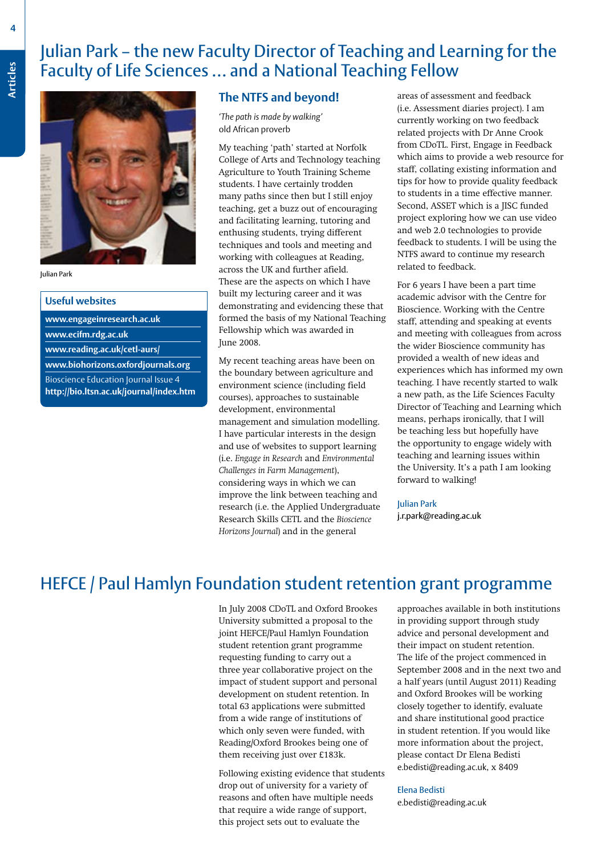# **Articles** Julian Park – the new Faculty Director of Teaching and Learning for the<br>Faculty of Life Sciences ... and a National Teaching Fellow<br>The NTES and beyond a stress of assessment and feedback Faculty of Life Sciences … and a National Teaching Fellow



#### Julian Park

| <b>Useful websites</b>                      |  |
|---------------------------------------------|--|
| www.engageinresearch.ac.uk                  |  |
| www.ecifm.rdg.ac.uk                         |  |
| www.reading.ac.uk/cetl-aurs/                |  |
| www.biohorizons.oxfordjournals.org          |  |
| <b>Bioscience Education Journal Issue 4</b> |  |
| http://bio.ltsn.ac.uk/journal/index.htm     |  |

### **The NTFS and beyond!**

*'The path is made by walking'* old African proverb

My teaching 'path' started at Norfolk College of Arts and Technology teaching Agriculture to Youth Training Scheme students. I have certainly trodden many paths since then but I still enjoy teaching, get a buzz out of encouraging and facilitating learning, tutoring and enthusing students, trying different techniques and tools and meeting and working with colleagues at Reading, across the UK and further afield. These are the aspects on which I have built my lecturing career and it was demonstrating and evidencing these that formed the basis of my National Teaching Fellowship which was awarded in June 2008.

My recent teaching areas have been on the boundary between agriculture and environment science (including field courses), approaches to sustainable development, environmental management and simulation modelling. I have particular interests in the design and use of websites to support learning (i.e. *Engage in Research* and *Environmental Challenges in Farm Management*), considering ways in which we can improve the link between teaching and research (i.e. the Applied Undergraduate Research Skills CETL and the *Bioscience Horizons Journal*) and in the general

areas of assessment and feedback (i.e. Assessment diaries project). I am currently working on two feedback related projects with Dr Anne Crook from CDoTL. First, Engage in Feedback which aims to provide a web resource for staff, collating existing information and tips for how to provide quality feedback to students in a time effective manner. Second, ASSET which is a JISC funded project exploring how we can use video and web 2.0 technologies to provide feedback to students. I will be using the NTFS award to continue my research related to feedback.

For 6 years I have been a part time academic advisor with the Centre for Bioscience. Working with the Centre staff, attending and speaking at events and meeting with colleagues from across the wider Bioscience community has provided a wealth of new ideas and experiences which has informed my own teaching. I have recently started to walk a new path, as the Life Sciences Faculty Director of Teaching and Learning which means, perhaps ironically, that I will be teaching less but hopefully have the opportunity to engage widely with teaching and learning issues within the University. It's a path I am looking forward to walking!

Julian Park j.r.park@reading.ac.uk

### HEFCE / Paul Hamlyn Foundation student retention grant programme

In July 2008 CDoTL and Oxford Brookes University submitted a proposal to the joint HEFCE/Paul Hamlyn Foundation student retention grant programme requesting funding to carry out a three year collaborative project on the impact of student support and personal development on student retention. In total 63 applications were submitted from a wide range of institutions of which only seven were funded, with Reading/Oxford Brookes being one of them receiving just over £183k.

Following existing evidence that students drop out of university for a variety of reasons and often have multiple needs that require a wide range of support, this project sets out to evaluate the

approaches available in both institutions in providing support through study advice and personal development and their impact on student retention. The life of the project commenced in September 2008 and in the next two and a half years (until August 2011) Reading and Oxford Brookes will be working closely together to identify, evaluate and share institutional good practice in student retention. If you would like more information about the project, please contact Dr Elena Bedisti e.bedisti@reading.ac.uk, x 8409

#### Elena Bedisti

e.bedisti@reading.ac.uk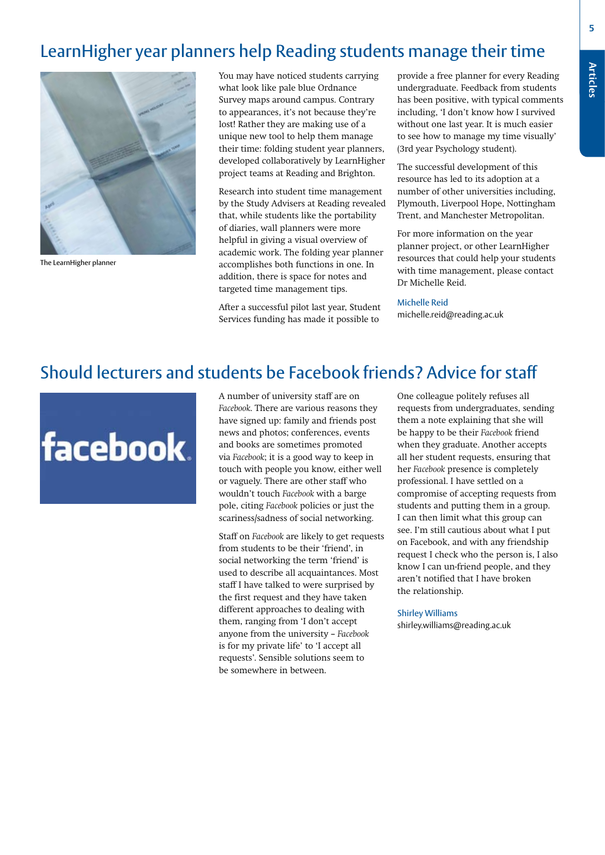### LearnHigher year planners help Reading students manage their time



The LearnHigher planner

You may have noticed students carrying what look like pale blue Ordnance Survey maps around campus. Contrary to appearances, it's not because they're lost! Rather they are making use of a unique new tool to help them manage their time: folding student year planners, developed collaboratively by LearnHigher project teams at Reading and Brighton.

Research into student time management by the Study Advisers at Reading revealed that, while students like the portability of diaries, wall planners were more helpful in giving a visual overview of academic work. The folding year planner accomplishes both functions in one. In addition, there is space for notes and targeted time management tips.

After a successful pilot last year, Student Services funding has made it possible to

provide a free planner for every Reading undergraduate. Feedback from students has been positive, with typical comments including, 'I don't know how I survived without one last year. It is much easier to see how to manage my time visually' (3rd year Psychology student).

The successful development of this resource has led to its adoption at a number of other universities including, Plymouth, Liverpool Hope, Nottingham Trent, and Manchester Metropolitan.

For more information on the year planner project, or other LearnHigher resources that could help your students with time management, please contact Dr Michelle Reid.

#### Michelle Reid

michelle.reid@reading.ac.uk

### Should lecturers and students be Facebook friends? Advice for staff



A number of university staff are on *Facebook*. There are various reasons they have signed up: family and friends post news and photos; conferences, events and books are sometimes promoted via *Facebook*; it is a good way to keep in touch with people you know, either well or vaguely. There are other staff who wouldn't touch *Facebook* with a barge pole, citing *Facebook* policies or just the scariness/sadness of social networking.

Staff on *Facebook* are likely to get requests from students to be their 'friend', in social networking the term 'friend' is used to describe all acquaintances. Most staff I have talked to were surprised by the first request and they have taken different approaches to dealing with them, ranging from 'I don't accept anyone from the university – *Facebook* is for my private life' to 'I accept all requests'. Sensible solutions seem to be somewhere in between.

One colleague politely refuses all requests from undergraduates, sending them a note explaining that she will be happy to be their *Facebook* friend when they graduate. Another accepts all her student requests, ensuring that her *Facebook* presence is completely professional. I have settled on a compromise of accepting requests from students and putting them in a group. I can then limit what this group can see. I'm still cautious about what I put on Facebook, and with any friendship request I check who the person is, I also know I can un-friend people, and they aren't notified that I have broken the relationship.

#### Shirley Williams

shirley.williams@reading.ac.uk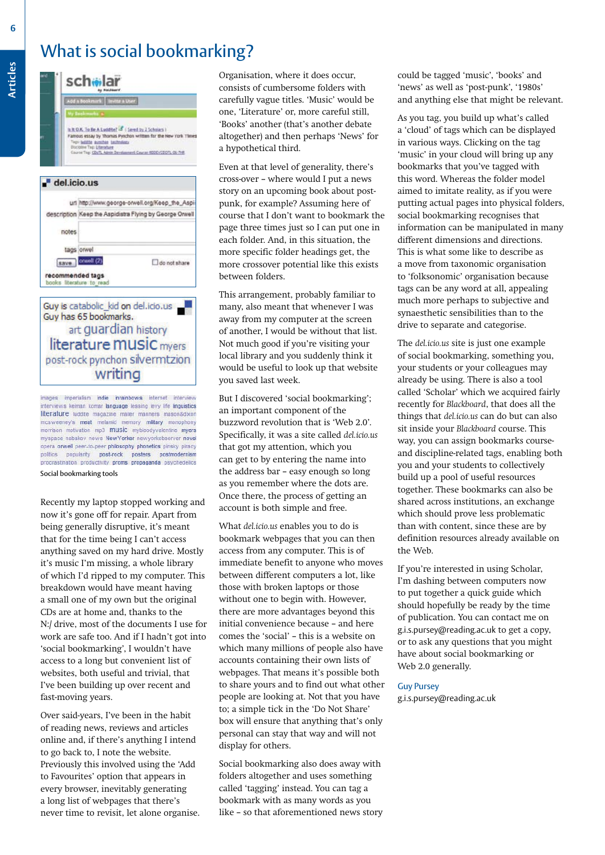### What is social bookmarking?



images imperialism indie inrainbows internet interview terviews kelman komar language lessing levy life linguistics literature luddite magazine mailer manners mason&dixor mcsweeney's meat melamid memory military monophon morrison motivation mp3 music mybloodyvalentine myers myspace nabakov news New Yorker newyorkobserver novel opera orwell peer-to-peer philosophy phonetics pinsky piracy politics popularity post-rock posters postmodernism procrastination productivity proms propaganda psychedelics

#### Social bookmarking tools

Recently my laptop stopped working and now it's gone off for repair. Apart from being generally disruptive, it's meant that for the time being I can't access anything saved on my hard drive. Mostly it's music I'm missing, a whole library of which I'd ripped to my computer. This breakdown would have meant having a small one of my own but the original CDs are at home and, thanks to the N:/ drive, most of the documents I use for work are safe too. And if I hadn't got into 'social bookmarking', I wouldn't have access to a long but convenient list of websites, both useful and trivial, that I've been building up over recent and fast-moving years.

Over said-years, I've been in the habit of reading news, reviews and articles online and, if there's anything I intend to go back to, I note the website. Previously this involved using the 'Add to Favourites' option that appears in every browser, inevitably generating a long list of webpages that there's never time to revisit, let alone organise.

Organisation, where it does occur, consists of cumbersome folders with carefully vague titles. 'Music' would be one, 'Literature' or, more careful still, 'Books' another (that's another debate altogether) and then perhaps 'News' for a hypothetical third.

Even at that level of generality, there's cross-over – where would I put a news story on an upcoming book about postpunk, for example? Assuming here of course that I don't want to bookmark the page three times just so I can put one in each folder. And, in this situation, the more specific folder headings get, the more crossover potential like this exists between folders.

This arrangement, probably familiar to many, also meant that whenever I was away from my computer at the screen of another, I would be without that list. Not much good if you're visiting your local library and you suddenly think it would be useful to look up that website you saved last week.

But I discovered 'social bookmarking'; an important component of the buzzword revolution that is 'Web 2.0'. Specifically, it was a site called *del.icio.us* that got my attention, which you can get to by entering the name into the address bar – easy enough so long as you remember where the dots are. Once there, the process of getting an account is both simple and free.

What *del.icio.us* enables you to do is bookmark webpages that you can then access from any computer. This is of immediate benefit to anyone who moves between different computers a lot, like those with broken laptops or those without one to begin with. However, there are more advantages beyond this initial convenience because – and here comes the 'social' – this is a website on which many millions of people also have accounts containing their own lists of webpages. That means it's possible both to share yours and to find out what other people are looking at. Not that you have to; a simple tick in the 'Do Not Share' box will ensure that anything that's only personal can stay that way and will not display for others.

Social bookmarking also does away with folders altogether and uses something called 'tagging' instead. You can tag a bookmark with as many words as you like – so that aforementioned news story could be tagged 'music', 'books' and 'news' as well as 'post-punk', '1980s' and anything else that might be relevant.

As you tag, you build up what's called a 'cloud' of tags which can be displayed in various ways. Clicking on the tag 'music' in your cloud will bring up any bookmarks that you've tagged with this word. Whereas the folder model aimed to imitate reality, as if you were putting actual pages into physical folders, social bookmarking recognises that information can be manipulated in many different dimensions and directions. This is what some like to describe as a move from taxonomic organisation to 'folksonomic' organisation because tags can be any word at all, appealing much more perhaps to subjective and synaesthetic sensibilities than to the drive to separate and categorise.

The *del.icio.us* site is just one example of social bookmarking, something you, your students or your colleagues may already be using. There is also a tool called 'Scholar' which we acquired fairly recently for *Blackboard*, that does all the things that *del.icio.us* can do but can also sit inside your *Blackboard* course. This way, you can assign bookmarks courseand discipline-related tags, enabling both you and your students to collectively build up a pool of useful resources together. These bookmarks can also be shared across institutions, an exchange which should prove less problematic than with content, since these are by definition resources already available on the Web.

If you're interested in using Scholar, I'm dashing between computers now to put together a quick guide which should hopefully be ready by the time of publication. You can contact me on g.i.s.pursey@reading.ac.uk to get a copy, or to ask any questions that you might have about social bookmarking or Web 2.0 generally.

#### Guy Pursey

g.i.s.pursey@reading.ac.uk

**Articles**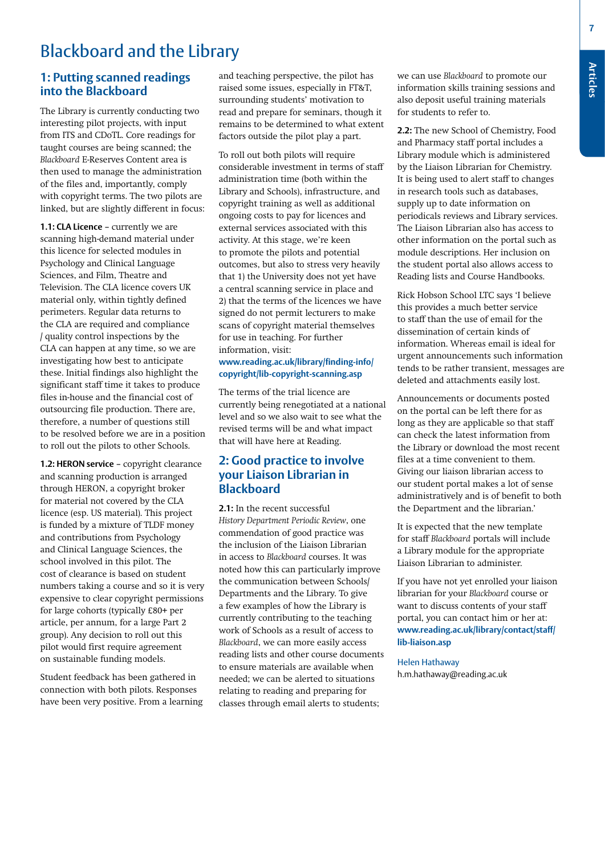**7**

# Blackboard and the Library

### **1: Putting scanned readings into the Blackboard**

The Library is currently conducting two interesting pilot projects, with input from ITS and CDoTL. Core readings for taught courses are being scanned; the *Blackboard* E-Reserves Content area is then used to manage the administration of the files and, importantly, comply with copyright terms. The two pilots are linked, but are slightly different in focus:

**1.1: CLA Licence** – currently we are scanning high-demand material under this licence for selected modules in Psychology and Clinical Language Sciences, and Film, Theatre and Television. The CLA licence covers UK material only, within tightly defined perimeters. Regular data returns to the CLA are required and compliance / quality control inspections by the CLA can happen at any time, so we are investigating how best to anticipate these. Initial findings also highlight the significant staff time it takes to produce files in-house and the financial cost of outsourcing file production. There are, therefore, a number of questions still to be resolved before we are in a position to roll out the pilots to other Schools.

**1.2: HERON service** – copyright clearance and scanning production is arranged through HERON, a copyright broker for material not covered by the CLA licence (esp. US material). This project is funded by a mixture of TLDF money and contributions from Psychology and Clinical Language Sciences, the school involved in this pilot. The cost of clearance is based on student numbers taking a course and so it is very expensive to clear copyright permissions for large cohorts (typically £80+ per article, per annum, for a large Part 2 group). Any decision to roll out this pilot would first require agreement on sustainable funding models.

Student feedback has been gathered in connection with both pilots. Responses have been very positive. From a learning and teaching perspective, the pilot has raised some issues, especially in FT&T, surrounding students' motivation to read and prepare for seminars, though it remains to be determined to what extent factors outside the pilot play a part.

To roll out both pilots will require considerable investment in terms of staff administration time (both within the Library and Schools), infrastructure, and copyright training as well as additional ongoing costs to pay for licences and external services associated with this activity. At this stage, we're keen to promote the pilots and potential outcomes, but also to stress very heavily that 1) the University does not yet have a central scanning service in place and 2) that the terms of the licences we have signed do not permit lecturers to make scans of copyright material themselves for use in teaching. For further information, visit:

### **www.reading.ac.uk/library/finding-info/ copyright/lib-copyright-scanning.asp**

The terms of the trial licence are currently being renegotiated at a national level and so we also wait to see what the revised terms will be and what impact that will have here at Reading.

### **2: Good practice to involve your Liaison Librarian in Blackboard**

**2.1:** In the recent successful *History Department Periodic Review*, one commendation of good practice was the inclusion of the Liaison Librarian in access to *Blackboard* courses. It was noted how this can particularly improve the communication between Schools/ Departments and the Library. To give a few examples of how the Library is currently contributing to the teaching work of Schools as a result of access to *Blackboard*, we can more easily access reading lists and other course documents to ensure materials are available when needed; we can be alerted to situations relating to reading and preparing for classes through email alerts to students;

we can use *Blackboard* to promote our information skills training sessions and also deposit useful training materials for students to refer to.

**2.2:** The new School of Chemistry, Food and Pharmacy staff portal includes a Library module which is administered by the Liaison Librarian for Chemistry. It is being used to alert staff to changes in research tools such as databases, supply up to date information on periodicals reviews and Library services. The Liaison Librarian also has access to other information on the portal such as module descriptions. Her inclusion on the student portal also allows access to Reading lists and Course Handbooks.

Rick Hobson School LTC says 'I believe this provides a much better service to staff than the use of email for the dissemination of certain kinds of information. Whereas email is ideal for urgent announcements such information tends to be rather transient, messages are deleted and attachments easily lost.

Announcements or documents posted on the portal can be left there for as long as they are applicable so that staff can check the latest information from the Library or download the most recent files at a time convenient to them. Giving our liaison librarian access to our student portal makes a lot of sense administratively and is of benefit to both the Department and the librarian.'

It is expected that the new template for staff *Blackboard* portals will include a Library module for the appropriate Liaison Librarian to administer.

If you have not yet enrolled your liaison librarian for your *Blackboard* course or want to discuss contents of your staff portal, you can contact him or her at: **www.reading.ac.uk/library/contact/staff/ lib-liaison.asp**

Helen Hathaway h.m.hathaway@reading.ac.uk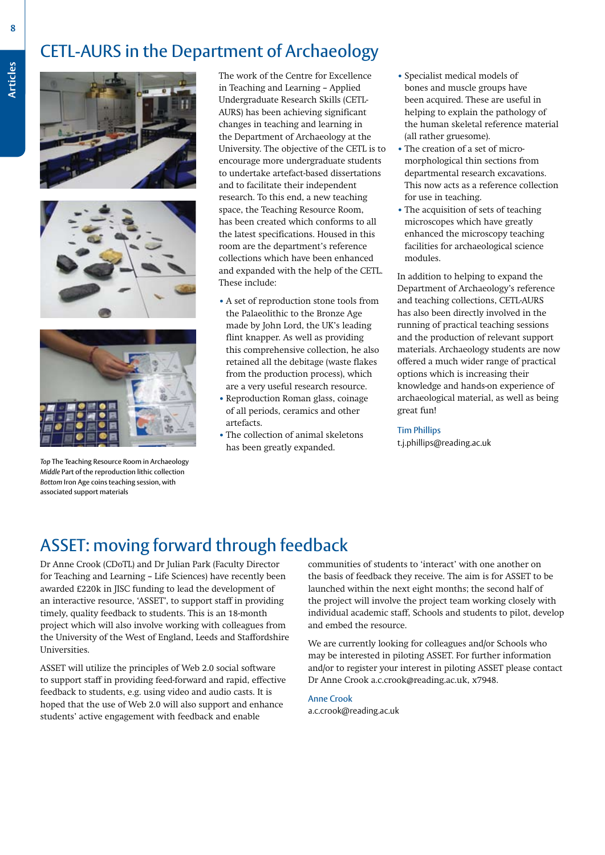# CETL-AURS in the Department of Archaeology







*Top* The Teaching Resource Room in Archaeology *Middle* Part of the reproduction lithic collection *Bottom* Iron Age coins teaching session, with associated support materials

The work of the Centre for Excellence in Teaching and Learning – Applied Undergraduate Research Skills (CETL-AURS) has been achieving significant changes in teaching and learning in the Department of Archaeology at the University. The objective of the CETL is to encourage more undergraduate students to undertake artefact-based dissertations and to facilitate their independent research. To this end, a new teaching space, the Teaching Resource Room, has been created which conforms to all the latest specifications. Housed in this room are the department's reference collections which have been enhanced and expanded with the help of the CETL. These include:

- **•** A set of reproduction stone tools from the Palaeolithic to the Bronze Age made by John Lord, the UK's leading flint knapper. As well as providing this comprehensive collection, he also retained all the debitage (waste flakes from the production process), which are a very useful research resource.
- **•** Reproduction Roman glass, coinage of all periods, ceramics and other artefacts.
- The collection of animal skeletons has been greatly expanded.
- **•** Specialist medical models of bones and muscle groups have been acquired. These are useful in helping to explain the pathology of the human skeletal reference material (all rather gruesome).
- The creation of a set of micromorphological thin sections from departmental research excavations. This now acts as a reference collection for use in teaching.
- The acquisition of sets of teaching microscopes which have greatly enhanced the microscopy teaching facilities for archaeological science modules.

In addition to helping to expand the Department of Archaeology's reference and teaching collections, CETL-AURS has also been directly involved in the running of practical teaching sessions and the production of relevant support materials. Archaeology students are now offered a much wider range of practical options which is increasing their knowledge and hands-on experience of archaeological material, as well as being great fun!

#### Tim Phillips

t.j.phillips@reading.ac.uk

### ASSET: moving forward through feedback

Dr Anne Crook (CDoTL) and Dr Julian Park (Faculty Director for Teaching and Learning – Life Sciences) have recently been awarded £220k in JISC funding to lead the development of an interactive resource, 'ASSET', to support staff in providing timely, quality feedback to students. This is an 18-month project which will also involve working with colleagues from the University of the West of England, Leeds and Staffordshire Universities.

ASSET will utilize the principles of Web 2.0 social software to support staff in providing feed-forward and rapid, effective feedback to students, e.g. using video and audio casts. It is hoped that the use of Web 2.0 will also support and enhance students' active engagement with feedback and enable

communities of students to 'interact' with one another on the basis of feedback they receive. The aim is for ASSET to be launched within the next eight months; the second half of the project will involve the project team working closely with individual academic staff, Schools and students to pilot, develop and embed the resource.

We are currently looking for colleagues and/or Schools who may be interested in piloting ASSET. For further information and/or to register your interest in piloting ASSET please contact Dr Anne Crook a.c.crook@reading.ac.uk, x7948.

Anne Crook a.c.crook@reading.ac.uk

**Articles**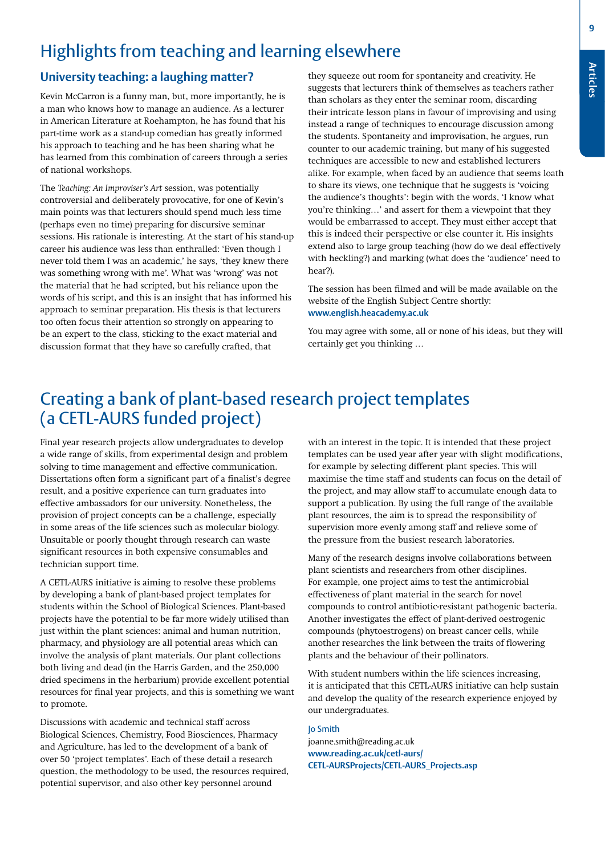**9**

# Highlights from teaching and learning elsewhere

### **University teaching: a laughing matter?**

Kevin McCarron is a funny man, but, more importantly, he is a man who knows how to manage an audience. As a lecturer in American Literature at Roehampton, he has found that his part-time work as a stand-up comedian has greatly informed his approach to teaching and he has been sharing what he has learned from this combination of careers through a series of national workshops.

The *Teaching: An Improviser's Art* session, was potentially controversial and deliberately provocative, for one of Kevin's main points was that lecturers should spend much less time (perhaps even no time) preparing for discursive seminar sessions. His rationale is interesting. At the start of his stand-up career his audience was less than enthralled: 'Even though I never told them I was an academic,' he says, 'they knew there was something wrong with me'. What was 'wrong' was not the material that he had scripted, but his reliance upon the words of his script, and this is an insight that has informed his approach to seminar preparation. His thesis is that lecturers too often focus their attention so strongly on appearing to be an expert to the class, sticking to the exact material and discussion format that they have so carefully crafted, that

they squeeze out room for spontaneity and creativity. He suggests that lecturers think of themselves as teachers rather than scholars as they enter the seminar room, discarding their intricate lesson plans in favour of improvising and using instead a range of techniques to encourage discussion among the students. Spontaneity and improvisation, he argues, run counter to our academic training, but many of his suggested techniques are accessible to new and established lecturers alike. For example, when faced by an audience that seems loath to share its views, one technique that he suggests is 'voicing the audience's thoughts': begin with the words, 'I know what you're thinking…' and assert for them a viewpoint that they would be embarrassed to accept. They must either accept that this is indeed their perspective or else counter it. His insights extend also to large group teaching (how do we deal effectively with heckling?) and marking (what does the 'audience' need to hear?).

The session has been filmed and will be made available on the website of the English Subject Centre shortly: **www.english.heacademy.ac.uk**

You may agree with some, all or none of his ideas, but they will certainly get you thinking …

### Creating a bank of plant-based research project templates (a CETL-AURS funded project)

Final year research projects allow undergraduates to develop a wide range of skills, from experimental design and problem solving to time management and effective communication. Dissertations often form a significant part of a finalist's degree result, and a positive experience can turn graduates into effective ambassadors for our university. Nonetheless, the provision of project concepts can be a challenge, especially in some areas of the life sciences such as molecular biology. Unsuitable or poorly thought through research can waste significant resources in both expensive consumables and technician support time.

A CETL-AURS initiative is aiming to resolve these problems by developing a bank of plant-based project templates for students within the School of Biological Sciences. Plant-based projects have the potential to be far more widely utilised than just within the plant sciences: animal and human nutrition, pharmacy, and physiology are all potential areas which can involve the analysis of plant materials. Our plant collections both living and dead (in the Harris Garden, and the 250,000 dried specimens in the herbarium) provide excellent potential resources for final year projects, and this is something we want to promote.

Discussions with academic and technical staff across Biological Sciences, Chemistry, Food Biosciences, Pharmacy and Agriculture, has led to the development of a bank of over 50 'project templates'. Each of these detail a research question, the methodology to be used, the resources required, potential supervisor, and also other key personnel around

with an interest in the topic. It is intended that these project templates can be used year after year with slight modifications, for example by selecting different plant species. This will maximise the time staff and students can focus on the detail of the project, and may allow staff to accumulate enough data to support a publication. By using the full range of the available plant resources, the aim is to spread the responsibility of supervision more evenly among staff and relieve some of the pressure from the busiest research laboratories.

Many of the research designs involve collaborations between plant scientists and researchers from other disciplines. For example, one project aims to test the antimicrobial effectiveness of plant material in the search for novel compounds to control antibiotic-resistant pathogenic bacteria. Another investigates the effect of plant-derived oestrogenic compounds (phytoestrogens) on breast cancer cells, while another researches the link between the traits of flowering plants and the behaviour of their pollinators.

With student numbers within the life sciences increasing, it is anticipated that this CETL-AURS initiative can help sustain and develop the quality of the research experience enjoyed by our undergraduates.

Jo Smith joanne.smith@reading.ac.uk **www.reading.ac.uk/cetl-aurs/ CETL-AURSProjects/CETL-AURS\_Projects.asp**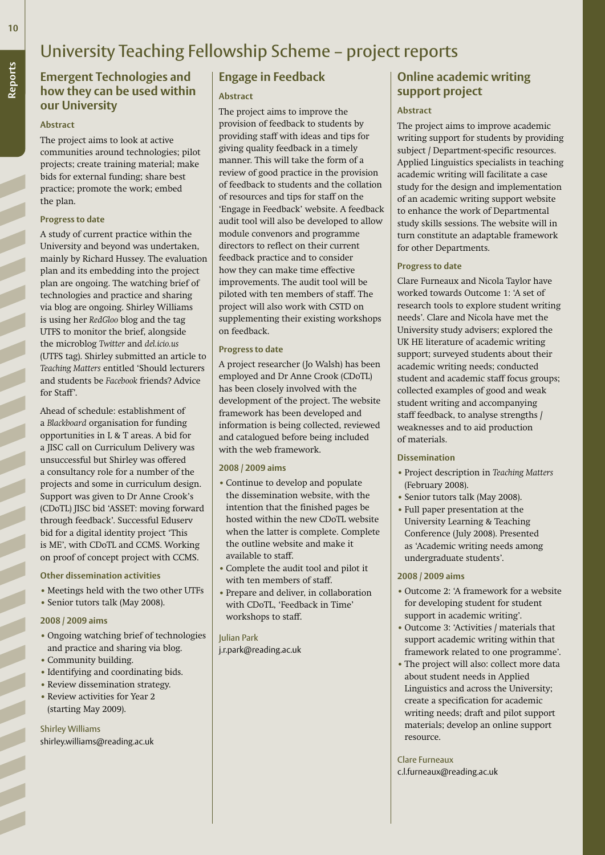# University Teaching Fellowship Scheme – project reports

### **Emergent Technologies and how they can be used within our University**

#### **Abstract**

The project aims to look at active communities around technologies; pilot projects; create training material; make bids for external funding; share best practice; promote the work; embed the plan.

#### **Progress to date**

A study of current practice within the University and beyond was undertaken, mainly by Richard Hussey. The evaluation plan and its embedding into the project plan are ongoing. The watching brief of technologies and practice and sharing via blog are ongoing. Shirley Williams is using her *RedGloo* blog and the tag UTFS to monitor the brief, alongside the microblog *Twitter* and *del.icio.us* (UTFS tag). Shirley submitted an article to *Teaching Matters* entitled 'Should lecturers and students be *Facebook* friends? Advice for Staff'.

Ahead of schedule: establishment of a *Blackboard* organisation for funding opportunities in L & T areas. A bid for a JISC call on Curriculum Delivery was unsuccessful but Shirley was offered a consultancy role for a number of the projects and some in curriculum design. Support was given to Dr Anne Crook's (CDoTL) JISC bid 'ASSET: moving forward through feedback'. Successful Eduserv bid for a digital identity project 'This is ME', with CDoTL and CCMS. Working on proof of concept project with CCMS.

#### **Other dissemination activities**

- **•** Meetings held with the two other UTFs
- **•** Senior tutors talk (May 2008).

#### **2008 / 2009 aims**

- **•** Ongoing watching brief of technologies and practice and sharing via blog.
- **•** Community building.
- **•** Identifying and coordinating bids.
- Review dissemination strategy.
- Review activities for Year 2 (starting May 2009).

Shirley Williams shirley.williams@reading.ac.uk

### **Engage in Feedback**

### **Abstract**

The project aims to improve the provision of feedback to students by providing staff with ideas and tips for giving quality feedback in a timely manner. This will take the form of a review of good practice in the provision of feedback to students and the collation of resources and tips for staff on the 'Engage in Feedback' website. A feedback audit tool will also be developed to allow module convenors and programme directors to reflect on their current feedback practice and to consider how they can make time effective improvements. The audit tool will be piloted with ten members of staff. The project will also work with CSTD on supplementing their existing workshops on feedback.

### **Progress to date**

A project researcher (Jo Walsh) has been employed and Dr Anne Crook (CDoTL) has been closely involved with the development of the project. The website framework has been developed and information is being collected, reviewed and catalogued before being included with the web framework.

#### **2008 / 2009 aims**

- **•** Continue to develop and populate the dissemination website, with the intention that the finished pages be hosted within the new CDoTL website when the latter is complete. Complete the outline website and make it available to staff.
- **•** Complete the audit tool and pilot it with ten members of staff.
- **•** Prepare and deliver, in collaboration with CDoTL, 'Feedback in Time' workshops to staff.

Julian Park j.r.park@reading.ac.uk

### **Online academic writing support project**

#### **Abstract**

The project aims to improve academic writing support for students by providing subject / Department-specific resources. Applied Linguistics specialists in teaching academic writing will facilitate a case study for the design and implementation of an academic writing support website to enhance the work of Departmental study skills sessions. The website will in turn constitute an adaptable framework for other Departments.

### **Progress to date**

Clare Furneaux and Nicola Taylor have worked towards Outcome 1: 'A set of research tools to explore student writing needs'. Clare and Nicola have met the University study advisers; explored the UK HE literature of academic writing support; surveyed students about their academic writing needs; conducted student and academic staff focus groups; collected examples of good and weak student writing and accompanying staff feedback, to analyse strengths / weaknesses and to aid production of materials.

#### **Dissemination**

- **•** Project description in *Teaching Matters* (February 2008).
- **•** Senior tutors talk (May 2008).
- **•** Full paper presentation at the University Learning & Teaching Conference (July 2008). Presented as 'Academic writing needs among undergraduate students'.

#### **2008 / 2009 aims**

- **•** Outcome 2: 'A framework for a website for developing student for student support in academic writing'.
- **•** Outcome 3: 'Activities / materials that support academic writing within that framework related to one programme'.
- **•** The project will also: collect more data about student needs in Applied Linguistics and across the University; create a specification for academic writing needs; draft and pilot support materials; develop an online support resource.

Clare Furneaux c.l.furneaux@reading.ac.uk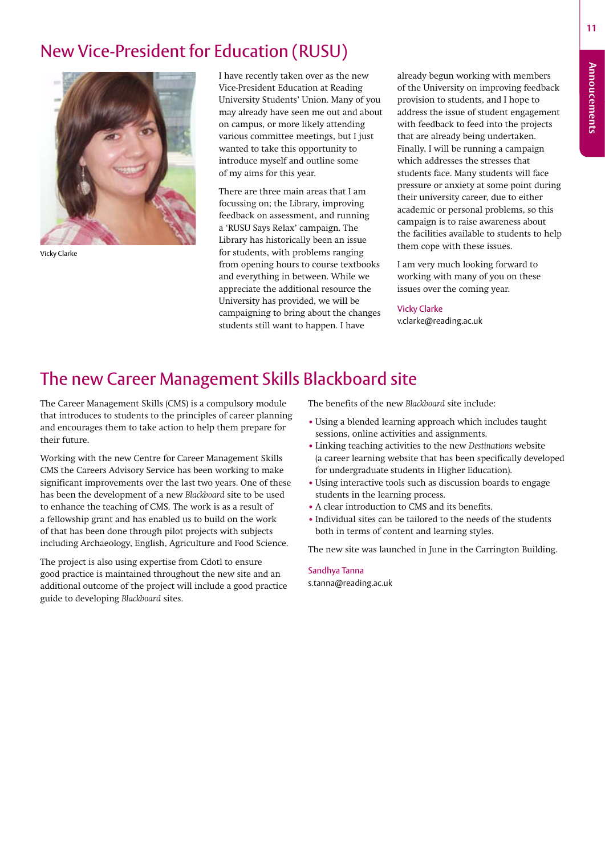**Annoucements**

**Annoucements** 

# New Vice-President for Education (RUSU)



Vicky Clarke

I have recently taken over as the new Vice-President Education at Reading University Students' Union. Many of you may already have seen me out and about on campus, or more likely attending various committee meetings, but I just wanted to take this opportunity to introduce myself and outline some of my aims for this year.

There are three main areas that I am focussing on; the Library, improving feedback on assessment, and running a 'RUSU Says Relax' campaign. The Library has historically been an issue for students, with problems ranging from opening hours to course textbooks and everything in between. While we appreciate the additional resource the University has provided, we will be campaigning to bring about the changes students still want to happen. I have

already begun working with members of the University on improving feedback provision to students, and I hope to address the issue of student engagement with feedback to feed into the projects that are already being undertaken. Finally, I will be running a campaign which addresses the stresses that students face. Many students will face pressure or anxiety at some point during their university career, due to either academic or personal problems, so this campaign is to raise awareness about the facilities available to students to help them cope with these issues.

I am very much looking forward to working with many of you on these issues over the coming year.

### Vicky Clarke

v.clarke@reading.ac.uk

# The new Career Management Skills Blackboard site

The Career Management Skills (CMS) is a compulsory module that introduces to students to the principles of career planning and encourages them to take action to help them prepare for their future.

Working with the new Centre for Career Management Skills CMS the Careers Advisory Service has been working to make significant improvements over the last two years. One of these has been the development of a new *Blackboard* site to be used to enhance the teaching of CMS. The work is as a result of a fellowship grant and has enabled us to build on the work of that has been done through pilot projects with subjects including Archaeology, English, Agriculture and Food Science.

The project is also using expertise from Cdotl to ensure good practice is maintained throughout the new site and an additional outcome of the project will include a good practice guide to developing *Blackboard* sites.

The benefits of the new *Blackboard* site include:

- **•** Using a blended learning approach which includes taught sessions, online activities and assignments.
- **•** Linking teaching activities to the new *Destinations* website (a career learning website that has been specifically developed for undergraduate students in Higher Education).
- **•** Using interactive tools such as discussion boards to engage students in the learning process.
- **•** A clear introduction to CMS and its benefits.
- Individual sites can be tailored to the needs of the students both in terms of content and learning styles.

The new site was launched in June in the Carrington Building.

### Sandhya Tanna

s.tanna@reading.ac.uk